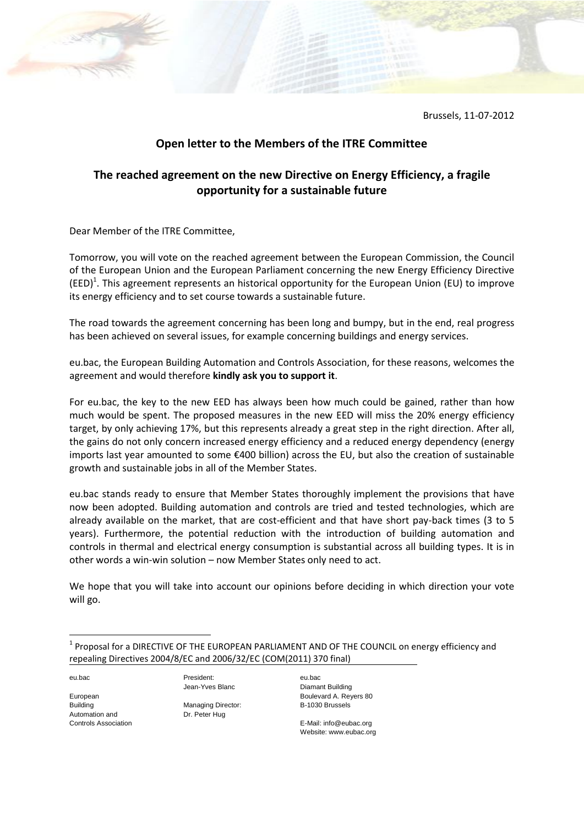Brussels, 11-07-2012

## **Open letter to the Members of the ITRE Committee**

## **The reached agreement on the new Directive on Energy Efficiency, a fragile opportunity for a sustainable future**

Dear Member of the ITRE Committee,

Tomorrow, you will vote on the reached agreement between the European Commission, the Council of the European Union and the European Parliament concerning the new Energy Efficiency Directive (EED)<sup>1</sup>. This agreement represents an historical opportunity for the European Union (EU) to improve its energy efficiency and to set course towards a sustainable future.

The road towards the agreement concerning has been long and bumpy, but in the end, real progress has been achieved on several issues, for example concerning buildings and energy services.

eu.bac, the European Building Automation and Controls Association, for these reasons, welcomes the agreement and would therefore **kindly ask you to support it**.

For eu.bac, the key to the new EED has always been how much could be gained, rather than how much would be spent. The proposed measures in the new EED will miss the 20% energy efficiency target, by only achieving 17%, but this represents already a great step in the right direction. After all, the gains do not only concern increased energy efficiency and a reduced energy dependency (energy imports last year amounted to some €400 billion) across the EU, but also the creation of sustainable growth and sustainable jobs in all of the Member States.

eu.bac stands ready to ensure that Member States thoroughly implement the provisions that have now been adopted. Building automation and controls are tried and tested technologies, which are already available on the market, that are cost-efficient and that have short pay-back times (3 to 5 years). Furthermore, the potential reduction with the introduction of building automation and controls in thermal and electrical energy consumption is substantial across all building types. It is in other words a win-win solution – now Member States only need to act.

We hope that you will take into account our opinions before deciding in which direction your vote will go.

eu.bac

**.** 

European Building Automation and Controls Association Jean-Yves Blanc

President:

Managing Director: Dr. Peter Hug

eu.bac Diamant Building Boulevard A. Reyers 80 B-1030 Brussels

E-Mail: info@eubac.org Website: www.eubac.org

 $^1$  Proposal for a DIRECTIVE OF THE EUROPEAN PARLIAMENT AND OF THE COUNCIL on energy efficiency and repealing Directives 2004/8/EC and 2006/32/EC (COM(2011) 370 final)